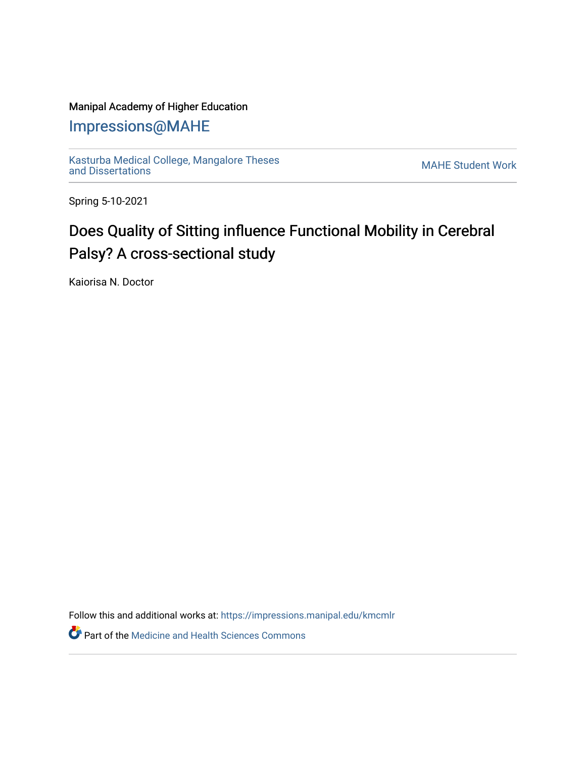## Manipal Academy of Higher Education

## [Impressions@MAHE](https://impressions.manipal.edu/)

[Kasturba Medical College, Mangalore Theses](https://impressions.manipal.edu/kmcmlr) Kasturba Medical College, Mangalore Theses<br>[and Dissertations](https://impressions.manipal.edu/kmcmlr) MAHE Student Work

Spring 5-10-2021

## Does Quality of Sitting influence Functional Mobility in Cerebral Palsy? A cross-sectional study

Kaiorisa N. Doctor

Follow this and additional works at: [https://impressions.manipal.edu/kmcmlr](https://impressions.manipal.edu/kmcmlr?utm_source=impressions.manipal.edu%2Fkmcmlr%2F132&utm_medium=PDF&utm_campaign=PDFCoverPages) 

**Part of the Medicine and Health Sciences Commons**